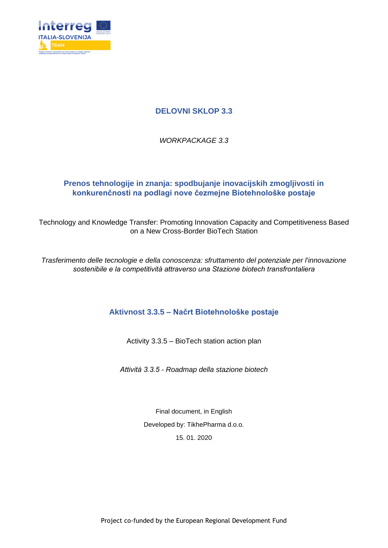

## **DELOVNI SKLOP 3.3**

*WORKPACKAGE 3.3*

## **Prenos tehnologije in znanja: spodbujanje inovacijskih zmogljivosti in konkurenčnosti na podlagi nove čezmejne Biotehnološke postaje**

Technology and Knowledge Transfer: Promoting Innovation Capacity and Competitiveness Based on a New Cross-Border BioTech Station

*Trasferimento delle tecnologie e della conoscenza: sfruttamento del potenziale per l'innovazione sostenibile e la competitività attraverso una Stazione biotech transfrontaliera*

## **Aktivnost 3.3.5 – Načrt Biotehnološke postaje**

Activity 3.3.5 – BioTech station action plan

*Attività 3.3.5 - Roadmap della stazione biotech* 

Final document, in English Developed by: TikhePharma d.o.o. 15. 01. 2020

Project co-funded by the European Regional Development Fund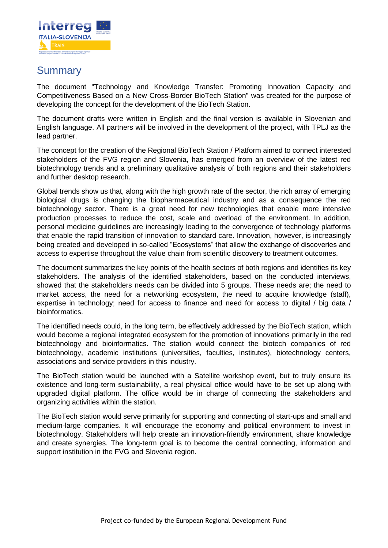

## **Summary**

The document "Technology and Knowledge Transfer: Promoting Innovation Capacity and Competitiveness Based on a New Cross-Border BioTech Station" was created for the purpose of developing the concept for the development of the BioTech Station.

The document drafts were written in English and the final version is available in Slovenian and English language. All partners will be involved in the development of the project, with TPLJ as the lead partner.

The concept for the creation of the Regional BioTech Station / Platform aimed to connect interested stakeholders of the FVG region and Slovenia, has emerged from an overview of the latest red biotechnology trends and a preliminary qualitative analysis of both regions and their stakeholders and further desktop research.

Global trends show us that, along with the high growth rate of the sector, the rich array of emerging biological drugs is changing the biopharmaceutical industry and as a consequence the red biotechnology sector. There is a great need for new technologies that enable more intensive production processes to reduce the cost, scale and overload of the environment. In addition, personal medicine guidelines are increasingly leading to the convergence of technology platforms that enable the rapid transition of innovation to standard care. Innovation, however, is increasingly being created and developed in so-called "Ecosystems" that allow the exchange of discoveries and access to expertise throughout the value chain from scientific discovery to treatment outcomes.

The document summarizes the key points of the health sectors of both regions and identifies its key stakeholders. The analysis of the identified stakeholders, based on the conducted interviews, showed that the stakeholders needs can be divided into 5 groups. These needs are; the need to market access, the need for a networking ecosystem, the need to acquire knowledge (staff), expertise in technology; need for access to finance and need for access to digital / big data / bioinformatics.

The identified needs could, in the long term, be effectively addressed by the BioTech station, which would become a regional integrated ecosystem for the promotion of innovations primarily in the red biotechnology and bioinformatics. The station would connect the biotech companies of red biotechnology, academic institutions (universities, faculties, institutes), biotechnology centers, associations and service providers in this industry.

The BioTech station would be launched with a Satellite workshop event, but to truly ensure its existence and long-term sustainability, a real physical office would have to be set up along with upgraded digital platform. The office would be in charge of connecting the stakeholders and organizing activities within the station.

The BioTech station would serve primarily for supporting and connecting of start-ups and small and medium-large companies. It will encourage the economy and political environment to invest in biotechnology. Stakeholders will help create an innovation-friendly environment, share knowledge and create synergies. The long-term goal is to become the central connecting, information and support institution in the FVG and Slovenia region.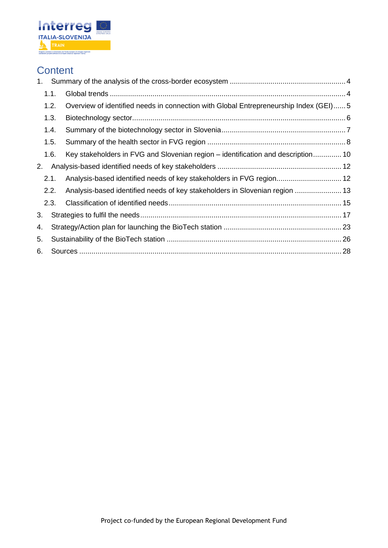

# **Content**

| 1. |      |                                                                                      |  |
|----|------|--------------------------------------------------------------------------------------|--|
|    | 1.1. |                                                                                      |  |
|    | 1.2. | Overview of identified needs in connection with Global Entrepreneurship Index (GEI)5 |  |
|    | 1.3. |                                                                                      |  |
|    | 1.4. |                                                                                      |  |
|    | 1.5. |                                                                                      |  |
|    | 1.6. | Key stakeholders in FVG and Slovenian region – identification and description 10     |  |
| 2. |      |                                                                                      |  |
|    | 2.1. | Analysis-based identified needs of key stakeholders in FVG region 12                 |  |
|    | 2.2. | Analysis-based identified needs of key stakeholders in Slovenian region  13          |  |
|    | 2.3. |                                                                                      |  |
| 3. |      |                                                                                      |  |
| 4. |      |                                                                                      |  |
| 5. |      |                                                                                      |  |
| 6. |      |                                                                                      |  |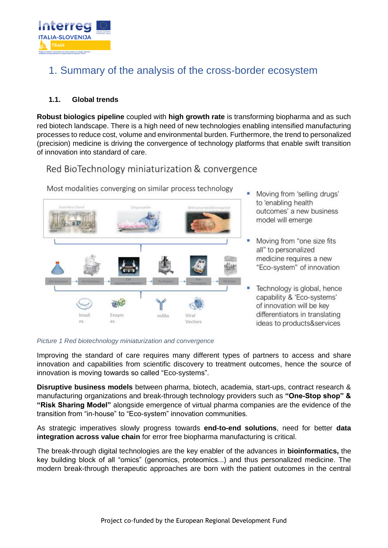

# <span id="page-3-0"></span>1. Summary of the analysis of the cross-border ecosystem

## <span id="page-3-1"></span>**1.1. Global trends**

**Robust biologics pipeline** coupled with **high growth rate** is transforming biopharma and as such red biotech landscape. There is a high need of new technologies enabling intensified manufacturing processes to reduce cost, volume and environmental burden. Furthermore, the trend to personalized (precision) medicine is driving the convergence of technology platforms that enable swift transition of innovation into standard of care.

## Red BioTechnology miniaturization & convergence



Most modalities converging on similar process technology

- Moving from 'selling drugs' to 'enabling health outcomes' a new business model will emerge
- Moving from "one size fits all" to personalized medicine requires a new "Eco-system" of innovation
- Technology is global, hence capability & 'Eco-systems' of innovation will be key differentiators in translating ideas to products&services

*Picture 1 Red biotechnology miniaturization and convergence*

Improving the standard of care requires many different types of partners to access and share innovation and capabilities from scientific discovery to treatment outcomes, hence the source of innovation is moving towards so called "Eco-systems".

**Disruptive business models** between pharma, biotech, academia, start-ups, contract research & manufacturing organizations and break-through technology providers such as **"One-Stop shop" & "Risk Sharing Model"** alongside emergence of virtual pharma companies are the evidence of the transition from "in-house" to "Eco-system" innovation communities.

As strategic imperatives slowly progress towards **end-to-end solutions**, need for better **data integration across value chain** for error free biopharma manufacturing is critical.

The break-through digital technologies are the key enabler of the advances in **bioinformatics,** the key building block of all "omics" (genomics, proteomics...) and thus personalized medicine. The modern break-through therapeutic approaches are born with the patient outcomes in the central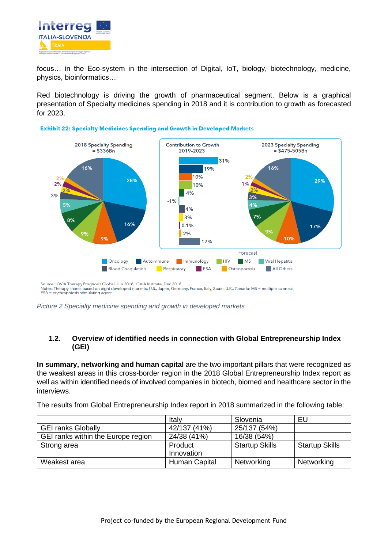

focus… in the Eco-system in the intersection of Digital, IoT, biology, biotechnology, medicine, physics, bioinformatics…

Red biotechnology is driving the growth of pharmaceutical segment. Below is a graphical presentation of Specialty medicines spending in 2018 and it is contribution to growth as forecasted for 2023.





Source: IQVIA Therapy Prognosis Global, Jun 2018, IQVIA Institute, Dec 2018<br>Notes: Therapy shares based on eight developed markets: U.S., Japan, Germany, France, Italy, Spain, U.K., Canada; MS = multiple sclerosis;<br>ESA = e

*Picture 2 Specialty medicine spending and growth in developed markets*

## <span id="page-4-0"></span>**1.2. Overview of identified needs in connection with Global Entrepreneurship Index (GEI)**

**In summary, networking and human capital** are the two important pillars that were recognized as the weakest areas in this cross-border region in the 2018 Global Entrepreneurship Index report as well as within identified needs of involved companies in biotech, biomed and healthcare sector in the interviews.

The results from Global Entrepreneurship Index report in 2018 summarized in the following table:

|                                    | Italy         | Slovenia              | EU                    |
|------------------------------------|---------------|-----------------------|-----------------------|
| <b>GEI ranks Globally</b>          | 42/137 (41%)  | 25/137 (54%)          |                       |
| GEI ranks within the Europe region | 24/38 (41%)   | 16/38 (54%)           |                       |
| Strong area                        | Product       | <b>Startup Skills</b> | <b>Startup Skills</b> |
|                                    | Innovation    |                       |                       |
| Weakest area                       | Human Capital | Networking            | Networking            |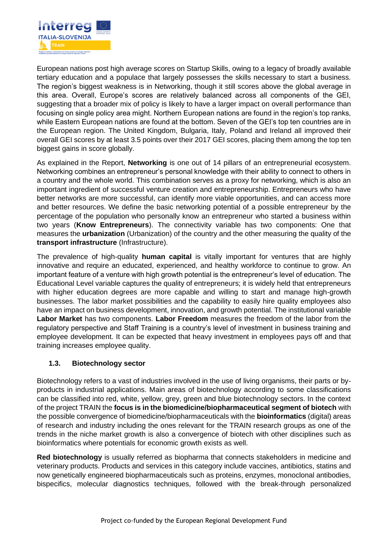

European nations post high average scores on Startup Skills, owing to a legacy of broadly available tertiary education and a populace that largely possesses the skills necessary to start a business. The region's biggest weakness is in Networking, though it still scores above the global average in this area. Overall, Europe's scores are relatively balanced across all components of the GEI, suggesting that a broader mix of policy is likely to have a larger impact on overall performance than focusing on single policy area might. Northern European nations are found in the region's top ranks, while Eastern European nations are found at the bottom. Seven of the GEI's top ten countries are in the European region. The United Kingdom, Bulgaria, Italy, Poland and Ireland all improved their overall GEI scores by at least 3.5 points over their 2017 GEI scores, placing them among the top ten biggest gains in score globally.

As explained in the Report, **Networking** is one out of 14 pillars of an entrepreneurial ecosystem. Networking combines an entrepreneur's personal knowledge with their ability to connect to others in a country and the whole world. This combination serves as a proxy for networking, which is also an important ingredient of successful venture creation and entrepreneurship. Entrepreneurs who have better networks are more successful, can identify more viable opportunities, and can access more and better resources. We define the basic networking potential of a possible entrepreneur by the percentage of the population who personally know an entrepreneur who started a business within two years (**Know Entrepreneurs**). The connectivity variable has two components: One that measures the **urbanization** (Urbanization) of the country and the other measuring the quality of the **transport infrastructure** (Infrastructure).

The prevalence of high-quality **human capital** is vitally important for ventures that are highly innovative and require an educated, experienced, and healthy workforce to continue to grow. An important feature of a venture with high growth potential is the entrepreneur's level of education. The Educational Level variable captures the quality of entrepreneurs; it is widely held that entrepreneurs with higher education degrees are more capable and willing to start and manage high-growth businesses. The labor market possibilities and the capability to easily hire quality employees also have an impact on business development, innovation, and growth potential. The institutional variable **Labor Market** has two components. **Labor Freedom** measures the freedom of the labor from the regulatory perspective and Staff Training is a country's level of investment in business training and employee development. It can be expected that heavy investment in employees pays off and that training increases employee quality.

## <span id="page-5-0"></span>**1.3. Biotechnology sector**

Biotechnology refers to a vast of industries involved in the use of living organisms, their parts or byproducts in industrial applications. Main areas of biotechnology according to some classifications can be classified into red, white, yellow, grey, green and blue biotechnology sectors. In the context of the project TRAIN the **focus is in the biomedicine/biopharmaceutical segment of biotech** with the possible convergence of biomedicine/biopharmaceuticals with the **bioinformatics** (digital) areas of research and industry including the ones relevant for the TRAIN research groups as one of the trends in the niche market growth is also a convergence of biotech with other disciplines such as bioinformatics where potentials for economic growth exists as well.

**Red biotechnology** is usually referred as biopharma that connects stakeholders in medicine and veterinary products. Products and services in this category include vaccines, antibiotics, statins and now genetically engineered biopharmaceuticals such as proteins, enzymes, monoclonal antibodies, bispecifics, molecular diagnostics techniques, followed with the break-through personalized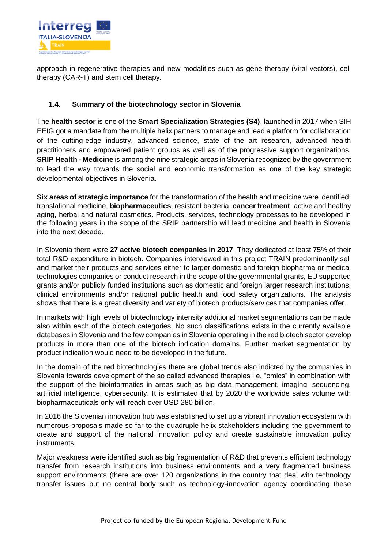

approach in regenerative therapies and new modalities such as gene therapy (viral vectors), cell therapy (CAR-T) and stem cell therapy.

## <span id="page-6-0"></span>**1.4. Summary of the biotechnology sector in Slovenia**

The **health sector** is one of the **Smart Specialization Strategies (S4)**, launched in 2017 when SIH EEIG got a mandate from the multiple helix partners to manage and lead a platform for collaboration of the cutting-edge industry, advanced science, state of the art research, advanced health practitioners and empowered patient groups as well as of the progressive support organizations. **SRIP Health - Medicine** is among the nine strategic areas in Slovenia recognized by the government to lead the way towards the social and economic transformation as one of the key strategic developmental objectives in Slovenia.

**Six areas of strategic importance** for the transformation of the health and medicine were identified: translational medicine, **biopharmaceutics**, resistant bacteria, **cancer treatment**, active and healthy aging, herbal and natural cosmetics. Products, services, technology processes to be developed in the following years in the scope of the SRIP partnership will lead medicine and health in Slovenia into the next decade.

In Slovenia there were **27 active biotech companies in 2017**. They dedicated at least 75% of their total R&D expenditure in biotech. Companies interviewed in this project TRAIN predominantly sell and market their products and services either to larger domestic and foreign biopharma or medical technologies companies or conduct research in the scope of the governmental grants, EU supported grants and/or publicly funded institutions such as domestic and foreign larger research institutions, clinical environments and/or national public health and food safety organizations. The analysis shows that there is a great diversity and variety of biotech products/services that companies offer.

In markets with high levels of biotechnology intensity additional market segmentations can be made also within each of the biotech categories. No such classifications exists in the currently available databases in Slovenia and the few companies in Slovenia operating in the red biotech sector develop products in more than one of the biotech indication domains. Further market segmentation by product indication would need to be developed in the future.

In the domain of the red biotechnologies there are global trends also indicted by the companies in Slovenia towards development of the so called advanced therapies i.e. "omics" in combination with the support of the bioinformatics in areas such as big data management, imaging, sequencing, artificial intelligence, cybersecurity. It is estimated that by 2020 the worldwide sales volume with biopharmaceuticals only will reach over USD 280 billion.

In 2016 the Slovenian innovation hub was established to set up a vibrant innovation ecosystem with numerous proposals made so far to the quadruple helix stakeholders including the government to create and support of the national innovation policy and create sustainable innovation policy instruments.

Major weakness were identified such as big fragmentation of R&D that prevents efficient technology transfer from research institutions into business environments and a very fragmented business support environments (there are over 120 organizations in the country that deal with technology transfer issues but no central body such as technology-innovation agency coordinating these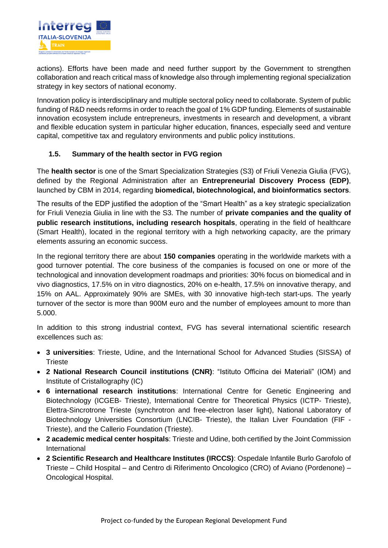

actions). Efforts have been made and need further support by the Government to strengthen collaboration and reach critical mass of knowledge also through implementing regional specialization strategy in key sectors of national economy.

Innovation policy is interdisciplinary and multiple sectoral policy need to collaborate. System of public funding of R&D needs reforms in order to reach the goal of 1% GDP funding. Elements of sustainable innovation ecosystem include entrepreneurs, investments in research and development, a vibrant and flexible education system in particular higher education, finances, especially seed and venture capital, competitive tax and regulatory environments and public policy institutions.

## <span id="page-7-0"></span>**1.5. Summary of the health sector in FVG region**

The **health sector** is one of the Smart Specialization Strategies (S3) of Friuli Venezia Giulia (FVG), defined by the Regional Administration after an **Entrepreneurial Discovery Process (EDP)**, launched by CBM in 2014, regarding **biomedical, biotechnological, and bioinformatics sectors**.

The results of the EDP justified the adoption of the "Smart Health" as a key strategic specialization for Friuli Venezia Giulia in line with the S3. The number of **private companies and the quality of public research institutions, including research hospitals**, operating in the field of healthcare (Smart Health), located in the regional territory with a high networking capacity, are the primary elements assuring an economic success.

In the regional territory there are about **150 companies** operating in the worldwide markets with a good turnover potential. The core business of the companies is focused on one or more of the technological and innovation development roadmaps and priorities: 30% focus on biomedical and in vivo diagnostics, 17.5% on in vitro diagnostics, 20% on e-health, 17.5% on innovative therapy, and 15% on AAL. Approximately 90% are SMEs, with 30 innovative high-tech start-ups. The yearly turnover of the sector is more than 900M euro and the number of employees amount to more than 5.000.

In addition to this strong industrial context, FVG has several international scientific research excellences such as:

- **3 universities**: Trieste, Udine, and the International School for Advanced Studies (SISSA) of **Trieste**
- **2 National Research Council institutions (CNR)**: "Istituto Officina dei Materiali" (IOM) and Institute of Cristallography (IC)
- **6 international research institutions**: International Centre for Genetic Engineering and Biotechnology (ICGEB- Trieste), International Centre for Theoretical Physics (ICTP- Trieste), Elettra-Sincrotrone Trieste (synchrotron and free-electron laser light), National Laboratory of Biotechnology Universities Consortium (LNCIB- Trieste), the Italian Liver Foundation (FIF - Trieste), and the Callerio Foundation (Trieste).
- **2 academic medical center hospitals**: Trieste and Udine, both certified by the Joint Commission International
- **2 Scientific Research and Healthcare Institutes (IRCCS)**: Ospedale Infantile Burlo Garofolo of Trieste – Child Hospital – and Centro di Riferimento Oncologico (CRO) of Aviano (Pordenone) – Oncological Hospital.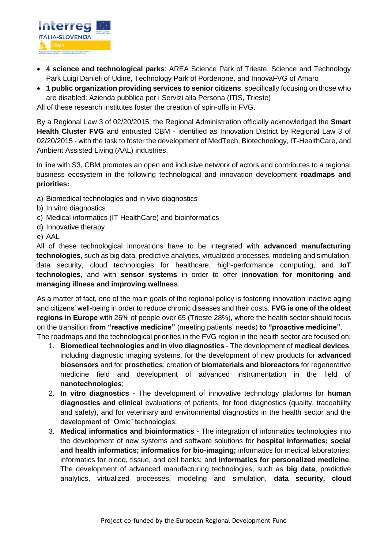

- **4 science and technological parks**: AREA Science Park of Trieste, Science and Technology Park Luigi Danieli of Udine, Technology Park of Pordenone, and InnovaFVG of Amaro
- **1 public organization providing services to senior citizens**, specifically focusing on those who are disabled: Azienda pubblica per i Servizi alla Persona (ITIS, Trieste)

All of these research institutes foster the creation of spin-offs in FVG.

By a Regional Law 3 of 02/20/2015, the Regional Administration officially acknowledged the **Smart Health Cluster FVG** and entrusted CBM - identified as Innovation District by Regional Law 3 of 02/20/2015 - with the task to foster the development of MedTech, Biotechnology, IT-HealthCare, and Ambient Assisted Living (AAL) industries.

In line with S3, CBM promotes an open and inclusive network of actors and contributes to a regional business ecosystem in the following technological and innovation development **roadmaps and priorities:** 

- a) Biomedical technologies and in vivo diagnostics
- b) In vitro diagnostics
- c) Medical informatics (IT HealthCare) and bioinformatics
- d) Innovative therapy
- e) AAL

All of these technological innovations have to be integrated with **advanced manufacturing technologies**, such as big data, predictive analytics, virtualized processes, modeling and simulation, data security, cloud technologies for healthcare, high-performance computing, and **IoT technologies**, and with **sensor systems** in order to offer **innovation for monitoring and managing illness and improving wellness**.

As a matter of fact, one of the main goals of the regional policy is fostering innovation inactive aging and citizens' well-being in order to reduce chronic diseases and their costs. **FVG is one of the oldest regions in Europe** with 26% of people over 65 (Trieste 28%), where the health sector should focus on the transition **from "reactive medicine"** (meeting patients' needs) **to "proactive medicine"**. The roadmaps and the technological priorities in the FVG region in the health sector are focused on:

- 1. **Biomedical technologies and in vivo diagnostics** The development of **medical devices**, including diagnostic imaging systems, for the development of new products for **advanced biosensors** and for **prosthetics**; creation of **biomaterials and bioreactors** for regenerative medicine field and development of advanced instrumentation in the field of **nanotechnologies**;
- 2. **In vitro diagnostics** The development of innovative technology platforms for **human diagnostics and clinical** evaluations of patients, for food diagnostics (quality, traceability and safety), and for veterinary and environmental diagnostics in the health sector and the development of "Omic" technologies;
- 3. **Medical informatics and bioinformatics**  The integration of informatics technologies into the development of new systems and software solutions for **hospital informatics; social and health informatics; informatics for bio-imaging;** informatics for medical laboratories; informatics for blood, tissue, and cell banks; and **informatics for personalized medicine**. The development of advanced manufacturing technologies, such as **big data**, predictive analytics, virtualized processes, modeling and simulation, **data security, cloud**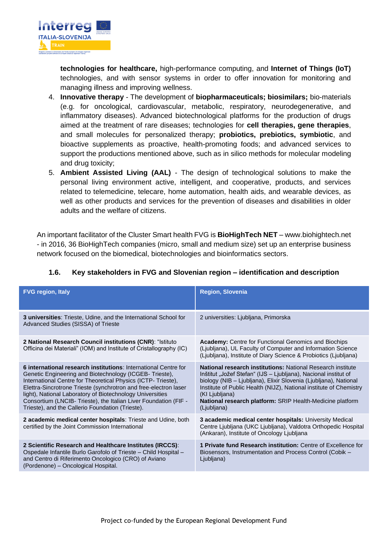

**technologies for healthcare,** high-performance computing, and **Internet of Things (IoT)** technologies, and with sensor systems in order to offer innovation for monitoring and managing illness and improving wellness.

- 4. **Innovative therapy** The development of **biopharmaceuticals; biosimilars;** bio-materials (e.g. for oncological, cardiovascular, metabolic, respiratory, neurodegenerative, and inflammatory diseases). Advanced biotechnological platforms for the production of drugs aimed at the treatment of rare diseases; technologies for **cell therapies, gene therapies**, and small molecules for personalized therapy; **probiotics, prebiotics, symbiotic**, and bioactive supplements as proactive, health-promoting foods; and advanced services to support the productions mentioned above, such as in silico methods for molecular modeling and drug toxicity;
- 5. **Ambient Assisted Living (AAL)** The design of technological solutions to make the personal living environment active, intelligent, and cooperative, products, and services related to telemedicine, telecare, home automation, health aids, and wearable devices, as well as other products and services for the prevention of diseases and disabilities in older adults and the welfare of citizens.

An important facilitator of the Cluster Smart health FVG is **BioHighTech NET** – [www.biohightech.net](http://www.biohightech.net/) - in 2016, 36 BioHighTech companies (micro, small and medium size) set up an enterprise business network focused on the biomedical, biotechnologies and bioinformatics sectors.

<span id="page-9-0"></span>

| 1.6. | Key stakeholders in FVG and Slovenian region – identification and description |
|------|-------------------------------------------------------------------------------|
|      |                                                                               |

| <b>FVG region, Italy</b>                                                                                                                                                                                                                                                                                                                                                                                                                           | <b>Region, Slovenia</b>                                                                                                                                                                                                                                                                                                                                                       |
|----------------------------------------------------------------------------------------------------------------------------------------------------------------------------------------------------------------------------------------------------------------------------------------------------------------------------------------------------------------------------------------------------------------------------------------------------|-------------------------------------------------------------------------------------------------------------------------------------------------------------------------------------------------------------------------------------------------------------------------------------------------------------------------------------------------------------------------------|
| 3 universities: Trieste, Udine, and the International School for<br>Advanced Studies (SISSA) of Trieste                                                                                                                                                                                                                                                                                                                                            | 2 universities: Ljubljana, Primorska                                                                                                                                                                                                                                                                                                                                          |
| 2 National Research Council institutions (CNR): "Istituto<br>Officina dei Materiali" (IOM) and Institute of Cristallography (IC)                                                                                                                                                                                                                                                                                                                   | <b>Academy:</b> Centre for Functional Genomics and Biochips<br>(Ljubljana), UL Faculty of Computer and Information Science<br>(Ljubljana), Institute of Diary Science & Probiotics (Ljubljana)                                                                                                                                                                                |
| 6 international research institutions: International Centre for<br>Genetic Engineering and Biotechnology (ICGEB-Trieste),<br>International Centre for Theoretical Physics (ICTP-Trieste),<br>Elettra-Sincrotrone Trieste (synchrotron and free-electron laser<br>light), National Laboratory of Biotechnology Universities<br>Consortium (LNCIB- Trieste), the Italian Liver Foundation (FIF -<br>Trieste), and the Callerio Foundation (Trieste). | National research institutions: National Research institute<br>Inštitut "Jožef Stefan" (IJS – Ljubljana), Nacional institut of<br>biology (NIB - Ljubljana), Elixir Slovenia (Ljubljana), National<br>Institute of Public Health (NIJZ), National institute of Chemistry<br>(KI Ljubljana)<br><b>National research platform:</b> SRIP Health-Medicine platform<br>(Ljubljana) |
| 2 academic medical center hospitals: Trieste and Udine, both<br>certified by the Joint Commission International                                                                                                                                                                                                                                                                                                                                    | 3 academic medical center hospitals: University Medical<br>Centre Ljubljana (UKC Ljubljana), Valdotra Orthopedic Hospital<br>(Ankaran), Institute of Oncology Ljubljana                                                                                                                                                                                                       |
| 2 Scientific Research and Healthcare Institutes (IRCCS):<br>Ospedale Infantile Burlo Garofolo of Trieste - Child Hospital -<br>and Centro di Riferimento Oncologico (CRO) of Aviano<br>(Pordenone) - Oncological Hospital.                                                                                                                                                                                                                         | 1 Private fund Research institution: Centre of Excellence for<br>Biosensors, Instrumentation and Process Control (Cobik -<br>Ljubljana)                                                                                                                                                                                                                                       |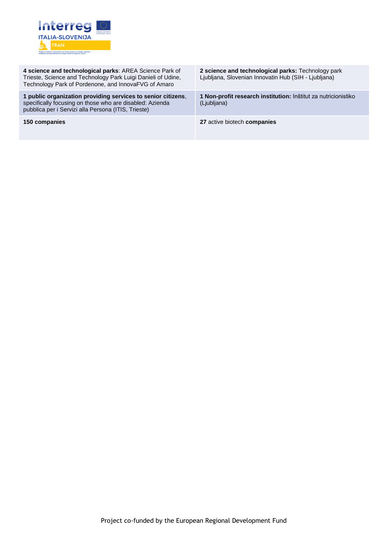

| 4 science and technological parks: AREA Science Park of<br>Trieste, Science and Technology Park Luigi Danieli of Udine,<br>Technology Park of Pordenone, and InnovaFVG of Amaro | 2 science and technological parks: Technology park<br>Ljubljana, Slovenian Innovatin Hub (SIH - Ljubljana) |
|---------------------------------------------------------------------------------------------------------------------------------------------------------------------------------|------------------------------------------------------------------------------------------------------------|
| 1 public organization providing services to senior citizens,<br>specifically focusing on those who are disabled: Azienda<br>pubblica per i Servizi alla Persona (ITIS, Trieste) | 1 Non-profit research institution: Inštitut za nutricionistiko<br>(Ljubljana)                              |
| 150 companies                                                                                                                                                                   | 27 active biotech companies                                                                                |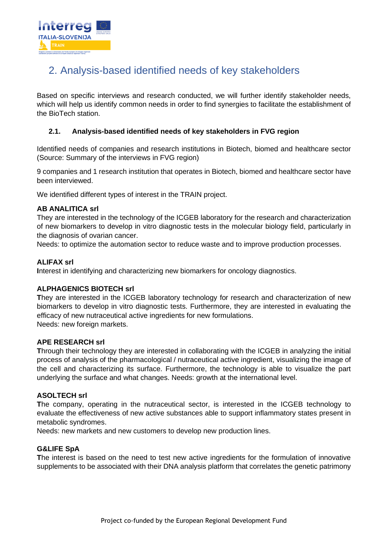

# <span id="page-11-0"></span>2. Analysis-based identified needs of key stakeholders

Based on specific interviews and research conducted, we will further identify stakeholder needs, which will help us identify common needs in order to find synergies to facilitate the establishment of the BioTech station.

## <span id="page-11-1"></span>**2.1. Analysis-based identified needs of key stakeholders in FVG region**

Identified needs of companies and research institutions in Biotech, biomed and healthcare sector (Source: Summary of the interviews in FVG region)

9 companies and 1 research institution that operates in Biotech, biomed and healthcare sector have been interviewed.

We identified different types of interest in the TRAIN project.

## **AB ANALITICA srl**

They are interested in the technology of the ICGEB laboratory for the research and characterization of new biomarkers to develop in vitro diagnostic tests in the molecular biology field, particularly in the diagnosis of ovarian cancer.

Needs: to optimize the automation sector to reduce waste and to improve production processes.

## **ALIFAX srl**

**I**nterest in identifying and characterizing new biomarkers for oncology diagnostics.

## **ALPHAGENICS BIOTECH srl**

**T**hey are interested in the ICGEB laboratory technology for research and characterization of new biomarkers to develop in vitro diagnostic tests. Furthermore, they are interested in evaluating the efficacy of new nutraceutical active ingredients for new formulations. Needs: new foreign markets.

## **APE RESEARCH srl**

**T**hrough their technology they are interested in collaborating with the ICGEB in analyzing the initial process of analysis of the pharmacological / nutraceutical active ingredient, visualizing the image of the cell and characterizing its surface. Furthermore, the technology is able to visualize the part underlying the surface and what changes. Needs: growth at the international level.

## **ASOLTECH srl**

**T**he company, operating in the nutraceutical sector, is interested in the ICGEB technology to evaluate the effectiveness of new active substances able to support inflammatory states present in metabolic syndromes.

Needs: new markets and new customers to develop new production lines.

## **G&LIFE SpA**

**T**he interest is based on the need to test new active ingredients for the formulation of innovative supplements to be associated with their DNA analysis platform that correlates the genetic patrimony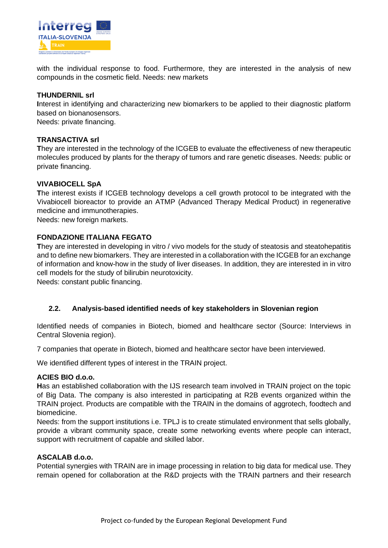

with the individual response to food. Furthermore, they are interested in the analysis of new compounds in the cosmetic field. Needs: new markets

#### **THUNDERNIL srl**

**I**nterest in identifying and characterizing new biomarkers to be applied to their diagnostic platform based on bionanosensors.

Needs: private financing.

#### **TRANSACTIVA srl**

**T**hey are interested in the technology of the ICGEB to evaluate the effectiveness of new therapeutic molecules produced by plants for the therapy of tumors and rare genetic diseases. Needs: public or private financing.

#### **VIVABIOCELL SpA**

**T**he interest exists if ICGEB technology develops a cell growth protocol to be integrated with the Vivabiocell bioreactor to provide an ATMP (Advanced Therapy Medical Product) in regenerative medicine and immunotherapies.

Needs: new foreign markets.

## **FONDAZIONE ITALIANA FEGATO**

**They are interested in developing in vitro / vivo models for the study of steatosis and steatohepatitis** and to define new biomarkers. They are interested in a collaboration with the ICGEB for an exchange of information and know-how in the study of liver diseases. In addition, they are interested in in vitro cell models for the study of bilirubin neurotoxicity.

Needs: constant public financing.

## <span id="page-12-0"></span>**2.2. Analysis-based identified needs of key stakeholders in Slovenian region**

Identified needs of companies in Biotech, biomed and healthcare sector (Source: Interviews in Central Slovenia region).

7 companies that operate in Biotech, biomed and healthcare sector have been interviewed.

We identified different types of interest in the TRAIN project.

#### **ACIES BIO d.o.o.**

**H**as an established collaboration with the IJS research team involved in TRAIN project on the topic of Big Data. The company is also interested in participating at R2B events organized within the TRAIN project. Products are compatible with the TRAIN in the domains of aggrotech, foodtech and biomedicine.

Needs: from the support institutions i.e. TPLJ is to create stimulated environment that sells globally, provide a vibrant community space, create some networking events where people can interact, support with recruitment of capable and skilled labor.

## **ASCALAB d.o.o.**

Potential synergies with TRAIN are in image processing in relation to big data for medical use. They remain opened for collaboration at the R&D projects with the TRAIN partners and their research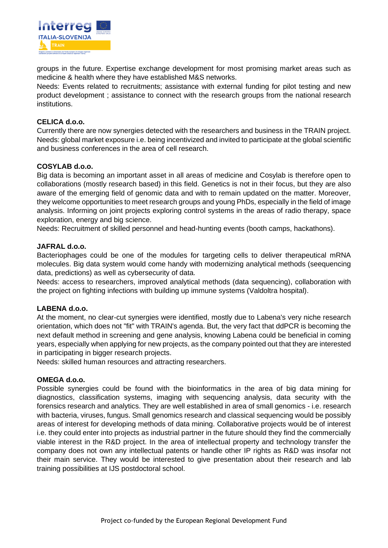

groups in the future. Expertise exchange development for most promising market areas such as medicine & health where they have established M&S networks.

Needs: Events related to recruitments; assistance with external funding for pilot testing and new product development ; assistance to connect with the research groups from the national research institutions.

#### **CELICA d.o.o.**

Currently there are now synergies detected with the researchers and business in the TRAIN project. Needs: global market exposure i.e. being incentivized and invited to participate at the global scientific and business conferences in the area of cell research.

## **COSYLAB d.o.o.**

Big data is becoming an important asset in all areas of medicine and Cosylab is therefore open to collaborations (mostly research based) in this field. Genetics is not in their focus, but they are also aware of the emerging field of genomic data and with to remain updated on the matter. Moreover, they welcome opportunities to meet research groups and young PhDs, especially in the field of image analysis. Informing on joint projects exploring control systems in the areas of radio therapy, space exploration, energy and big science.

Needs: Recruitment of skilled personnel and head-hunting events (booth camps, hackathons).

#### **JAFRAL d.o.o.**

Bacteriophages could be one of the modules for targeting cells to deliver therapeutical mRNA molecules. Big data system would come handy with modernizing analytical methods (seequencing data, predictions) as well as cybersecurity of data.

Needs: access to researchers, improved analytical methods (data sequencing), collaboration with the project on fighting infections with building up immune systems (Valdoltra hospital).

## **LABENA d.o.o.**

At the moment, no clear-cut synergies were identified, mostly due to Labena's very niche research orientation, which does not "fit" with TRAIN's agenda. But, the very fact that ddPCR is becoming the next default method in screening and gene analysis, knowing Labena could be beneficial in coming years, especially when applying for new projects, as the company pointed out that they are interested in participating in bigger research projects.

Needs: skilled human resources and attracting researchers.

#### **OMEGA d.o.o.**

Possible synergies could be found with the bioinformatics in the area of big data mining for diagnostics, classification systems, imaging with sequencing analysis, data security with the forensics research and analytics. They are well established in area of small genomics - i.e. research with bacteria, viruses, fungus. Small genomics research and classical sequencing would be possibly areas of interest for developing methods of data mining. Collaborative projects would be of interest i.e. they could enter into projects as industrial partner in the future should they find the commercially viable interest in the R&D project. In the area of intellectual property and technology transfer the company does not own any intellectual patents or handle other IP rights as R&D was insofar not their main service. They would be interested to give presentation about their research and lab training possibilities at IJS postdoctoral school.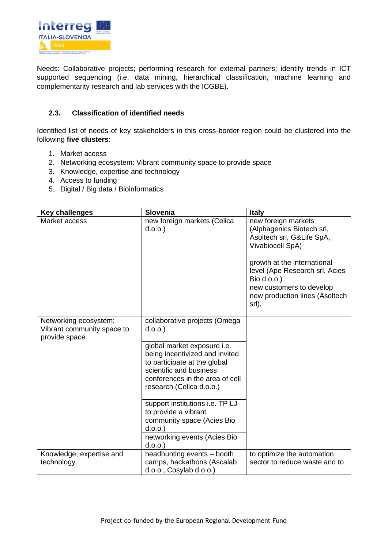

Needs: Collaborative projects; performing research for external partners; identify trends in ICT supported sequencing (i.e. data mining, hierarchical classification, machine learning and complementarity research and lab services with the ICGBE).

## <span id="page-14-0"></span>**2.3. Classification of identified needs**

Identified list of needs of key stakeholders in this cross-border region could be clustered into the following **five clusters**:

- 1. Market access
- 2. Networking ecosystem: Vibrant community space to provide space
- 3. Knowledge, expertise and technology
- 4. Access to funding
- 5. Digital / Big data / Bioinformatics

| <b>Key challenges</b>                                                | <b>Slovenia</b>                                                                                                                                                                         | <b>Italy</b>                                                                                      |
|----------------------------------------------------------------------|-----------------------------------------------------------------------------------------------------------------------------------------------------------------------------------------|---------------------------------------------------------------------------------------------------|
| Market access                                                        | new foreign markets (Celica<br>d.o.o.                                                                                                                                                   | new foreign markets<br>(Alphagenics Biotech srl,<br>Asoltech srl, G&Life SpA,<br>Vivabiocell SpA) |
|                                                                      |                                                                                                                                                                                         | growth at the international<br>level (Ape Research srl, Acies<br>Bio d.o.o.)                      |
|                                                                      |                                                                                                                                                                                         | new customers to develop<br>new production lines (Asoltech<br>srl),                               |
| Networking ecosystem:<br>Vibrant community space to<br>provide space | collaborative projects (Omega<br>d.o.o.                                                                                                                                                 |                                                                                                   |
|                                                                      | global market exposure i.e.<br>being incentivized and invited<br>to participate at the global<br>scientific and business<br>conferences in the area of cell<br>research (Celica d.o.o.) |                                                                                                   |
|                                                                      | support institutions i.e. TP LJ<br>to provide a vibrant<br>community space (Acies Bio<br>d.o.o.                                                                                         |                                                                                                   |
|                                                                      | networking events (Acies Bio<br>$d.o.o.$ )                                                                                                                                              |                                                                                                   |
| Knowledge, expertise and<br>technology                               | headhunting events - booth<br>camps, hackathons (Ascalab<br>d.o.o., Cosylab d.o.o.)                                                                                                     | to optimize the automation<br>sector to reduce waste and to                                       |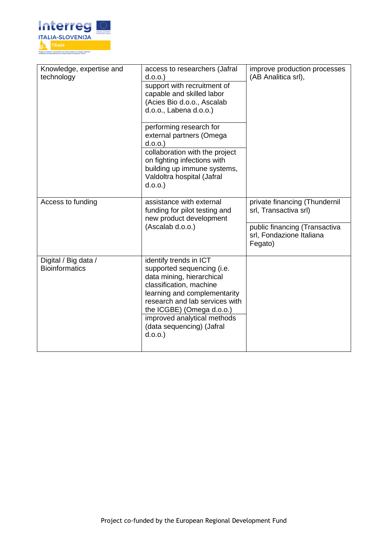

| Knowledge, expertise and<br>technology        | access to researchers (Jafral<br>d.o.o.<br>support with recruitment of<br>capable and skilled labor<br>(Acies Bio d.o.o., Ascalab<br>d.o.o., Labena d.o.o.)                                                                                                                       | improve production processes<br>(AB Analitica srl),                                                                            |  |
|-----------------------------------------------|-----------------------------------------------------------------------------------------------------------------------------------------------------------------------------------------------------------------------------------------------------------------------------------|--------------------------------------------------------------------------------------------------------------------------------|--|
|                                               | performing research for<br>external partners (Omega<br>d.o.o.<br>collaboration with the project<br>on fighting infections with<br>building up immune systems,<br>Valdoltra hospital (Jafral<br>d.o.o.                                                                             |                                                                                                                                |  |
| Access to funding                             | assistance with external<br>funding for pilot testing and<br>new product development<br>(Ascalab d.o.o.)                                                                                                                                                                          | private financing (Thundernil<br>srl, Transactiva srl)<br>public financing (Transactiva<br>srl, Fondazione Italiana<br>Fegato) |  |
| Digital / Big data /<br><b>Bioinformatics</b> | identify trends in ICT<br>supported sequencing (i.e.<br>data mining, hierarchical<br>classification, machine<br>learning and complementarity<br>research and lab services with<br>the ICGBE) (Omega d.o.o.)<br>improved analytical methods<br>(data sequencing) (Jafral<br>d.o.o. |                                                                                                                                |  |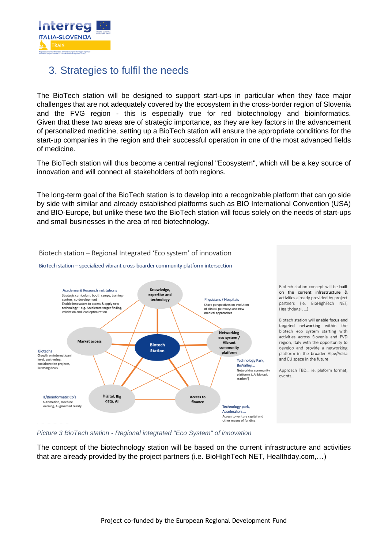

## <span id="page-16-0"></span>3. Strategies to fulfil the needs

The BioTech station will be designed to support start-ups in particular when they face major challenges that are not adequately covered by the ecosystem in the cross-border region of Slovenia and the FVG region - this is especially true for red biotechnology and bioinformatics. Given that these two areas are of strategic importance, as they are key factors in the advancement of personalized medicine, setting up a BioTech station will ensure the appropriate conditions for the start-up companies in the region and their successful operation in one of the most advanced fields of medicine.

The BioTech station will thus become a central regional "Ecosystem", which will be a key source of innovation and will connect all stakeholders of both regions.

The long-term goal of the BioTech station is to develop into a recognizable platform that can go side by side with similar and already established platforms such as BIO International Convention (USA) and BIO-Europe, but unlike these two the BioTech station will focus solely on the needs of start-ups and small businesses in the area of red biotechnology.



#### Biotech station - Regional Integrated 'Eco system' of innovation

BioTech station - specialized vibrant cross-boarder community platform intersection

*Picture 3 BioTech station - Regional integrated "Eco System" of innovation*

The concept of the biotechnology station will be based on the current infrastructure and activities that are already provided by the project partners (i.e. BioHighTech NET, Healthday.com,…)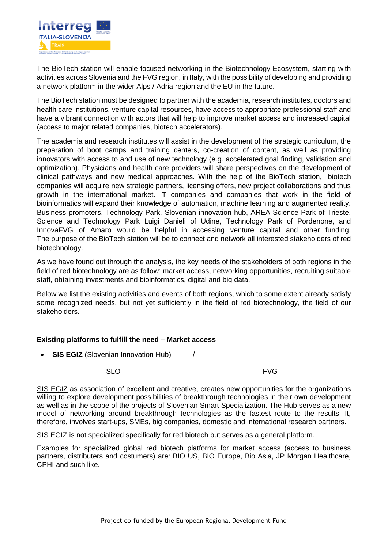

The BioTech station will enable focused networking in the Biotechnology Ecosystem, starting with activities across Slovenia and the FVG region, in Italy, with the possibility of developing and providing a network platform in the wider Alps / Adria region and the EU in the future.

The BioTech station must be designed to partner with the academia, research institutes, doctors and health care institutions, venture capital resources, have access to appropriate professional staff and have a vibrant connection with actors that will help to improve market access and increased capital (access to major related companies, biotech accelerators).

The academia and research institutes will assist in the development of the strategic curriculum, the preparation of boot camps and training centers, co-creation of content, as well as providing innovators with access to and use of new technology (e.g. accelerated goal finding, validation and optimization). Physicians and health care providers will share perspectives on the development of clinical pathways and new medical approaches. With the help of the BioTech station, biotech companies will acquire new strategic partners, licensing offers, new project collaborations and thus growth in the international market. IT companies and companies that work in the field of bioinformatics will expand their knowledge of automation, machine learning and augmented reality. Business promoters, Technology Park, Slovenian innovation hub, AREA Science Park of Trieste, Science and Technology Park Luigi Danieli of Udine, Technology Park of Pordenone, and InnovaFVG of Amaro would be helpful in accessing venture capital and other funding. The purpose of the BioTech station will be to connect and network all interested stakeholders of red biotechnology.

As we have found out through the analysis, the key needs of the stakeholders of both regions in the field of red biotechnology are as follow: market access, networking opportunities, recruiting suitable staff, obtaining investments and bioinformatics, digital and big data.

Below we list the existing activities and events of both regions, which to some extent already satisfy some recognized needs, but not yet sufficiently in the field of red biotechnology, the field of our stakeholders.

## **Existing platforms to fulfill the need – Market access**

| <b>SIS EGIZ</b> (Slovenian Innovation Hub) |            |
|--------------------------------------------|------------|
| <b>SLO</b>                                 | <b>FVG</b> |

SIS EGIZ as association of excellent and creative, creates new opportunities for the organizations willing to explore development possibilities of breakthrough technologies in their own development as well as in the scope of the projects of Slovenian Smart Specialization. The Hub serves as a new model of networking around breakthrough technologies as the fastest route to the results. It, therefore, involves start-ups, SMEs, big companies, domestic and international research partners.

SIS EGIZ is not specialized specifically for red biotech but serves as a general platform.

Examples for specialized global red biotech platforms for market access (access to business partners, distributers and costumers) are: BIO US, BIO Europe, Bio Asia, JP Morgan Healthcare, CPHI and such like.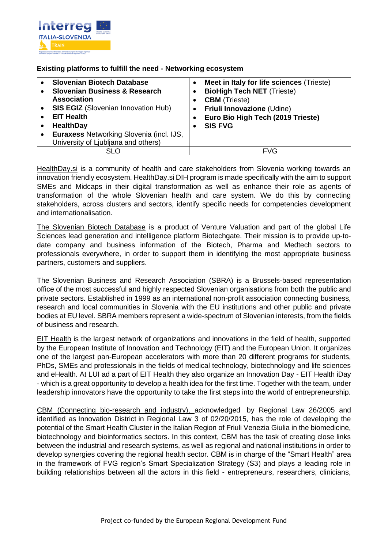

## **Existing platforms to fulfill the need - Networking ecosystem**

| <b>Slovenian Biotech Database</b><br><b>Slovenian Business &amp; Research</b><br><b>Association</b><br><b>SIS EGIZ</b> (Slovenian Innovation Hub)<br><b>EIT Health</b><br><b>HealthDay</b><br>Euraxess Networking Slovenia (incl. IJS,<br>University of Ljubljana and others) | $\bullet$ | Meet in Italy for life sciences (Trieste)<br><b>BioHigh Tech NET (Trieste)</b><br><b>CBM</b> (Trieste)<br>Friuli Innovazione (Udine)<br>Euro Bio High Tech (2019 Trieste)<br><b>SIS FVG</b> |
|-------------------------------------------------------------------------------------------------------------------------------------------------------------------------------------------------------------------------------------------------------------------------------|-----------|---------------------------------------------------------------------------------------------------------------------------------------------------------------------------------------------|
| SLO                                                                                                                                                                                                                                                                           |           | <b>FVG</b>                                                                                                                                                                                  |

HealthDay.si is a community of health and care stakeholders from Slovenia working towards an innovation friendly ecosystem. HealthDay.si DIH program is made specifically with the aim to support SMEs and Midcaps in their digital transformation as well as enhance their role as agents of transformation of the whole Slovenian health and care system. We do this by connecting stakeholders, across clusters and sectors, identify specific needs for competencies development and internationalisation.

The Slovenian Biotech Database is a product of Venture Valuation and part of the global Life Sciences lead generation and intelligence platform Biotechgate. Their mission is to provide up-todate company and business information of the Biotech, Pharma and Medtech sectors to professionals everywhere, in order to support them in identifying the most appropriate business partners, customers and suppliers.

The Slovenian Business and Research Association (SBRA) is a Brussels-based representation office of the most successful and highly respected Slovenian organisations from both the public and private sectors. Established in 1999 as an international non-profit association connecting business, research and local communities in Slovenia with the EU institutions and other public and private bodies at EU level. SBRA members represent a wide-spectrum of Slovenian interests, from the fields of business and research.

EIT Health is the largest network of organizations and innovations in the field of health, supported by the European Institute of Innovation and Technology (EIT) and the European Union. It organizes one of the largest pan-European accelerators with more than 20 different programs for students, PhDs, SMEs and professionals in the fields of medical technology, biotechnology and life sciences and eHealth. At LUI ad a part of EIT Health they also organize an Innovation Day - EIT Health iDay - which is a great opportunity to develop a health idea for the first time. Together with the team, under leadership innovators have the opportunity to take the first steps into the world of entrepreneurship.

CBM (Connecting bio-research and industry), acknowledged by Regional Law 26/2005 and identified as Innovation District in Regional Law 3 of 02/20/2015, has the role of developing the potential of the Smart Health Cluster in the Italian Region of Friuli Venezia Giulia in the biomedicine, biotechnology and bioinformatics sectors. In this context, CBM has the task of creating close links between the industrial and research systems, as well as regional and national institutions in order to develop synergies covering the regional health sector. CBM is in charge of the "Smart Health" area in the framework of FVG region's Smart Specialization Strategy (S3) and plays a leading role in building relationships between all the actors in this field - entrepreneurs, researchers, clinicians,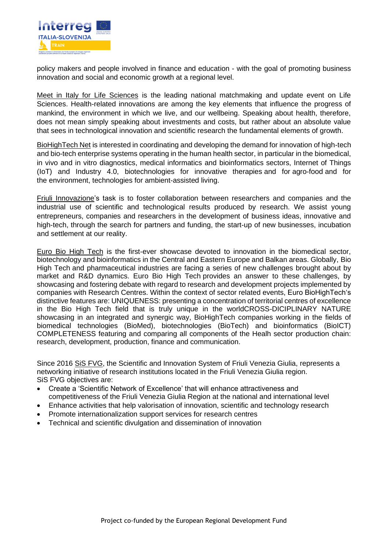

policy makers and people involved in finance and education - with the goal of promoting business innovation and social and economic growth at a regional level.

Meet in Italy for Life Sciences is the leading national matchmaking and update event on Life Sciences. Health-related innovations are among the key elements that influence the progress of mankind, the environment in which we live, and our wellbeing. Speaking about health, therefore, does not mean simply speaking about investments and costs, but rather about an absolute value that sees in technological innovation and scientific research the fundamental elements of growth.

BioHighTech Net is interested in coordinating and developing the demand for innovation of high-tech and bio-tech enterprise systems operating in the human health sector, in particular in the biomedical, in vivo and in vitro diagnostics, medical informatics and bioinformatics sectors, Internet of Things (IoT) and Industry 4.0, biotechnologies for innovative therapies and for agro-food and for the environment, technologies for ambient-assisted living.

Friuli Innovazione's task is to foster collaboration between researchers and companies and the industrial use of scientific and technological results produced by research. We assist young entrepreneurs, companies and researchers in the development of business ideas, innovative and high-tech, through the search for partners and funding, the start-up of new businesses, incubation and settlement at our reality.

Euro Bio High Tech is the first-ever showcase devoted to innovation in the biomedical sector, biotechnology and bioinformatics in the Central and Eastern Europe and Balkan areas. Globally, Bio High Tech and pharmaceutical industries are facing a series of new challenges brought about by market and R&D dynamics. Euro Bio High Tech provides an answer to these challenges, by showcasing and fostering debate with regard to research and development projects implemented by companies with Research Centres. Within the context of sector related events, Euro BioHighTech's distinctive features are: UNIQUENESS: presenting a concentration of territorial centres of excellence in the Bio High Tech field that is truly unique in the worldCROSS-DICIPLINARY NATURE showcasing in an integrated and synergic way. BioHighTech companies working in the fields of biomedical technologies (BioMed), biotechnologies (BioTech) and bioinformatics (BioICT) COMPLETENESS featuring and comparing all components of the Healh sector production chain: research, development, production, finance and communication.

Since 2016 SiS FVG, the Scientific and Innovation System of Friuli Venezia Giulia, represents a networking initiative of research institutions located in the Friuli Venezia Giulia region. SiS FVG objectives are:

- Create a 'Scientific Network of Excellence' that will enhance attractiveness and competitiveness of the Friuli Venezia Giulia Region at the national and international level
- Enhance activities that help valorisation of innovation, scientific and technology research
- Promote internationalization support services for research centres
- Technical and scientific divulgation and dissemination of innovation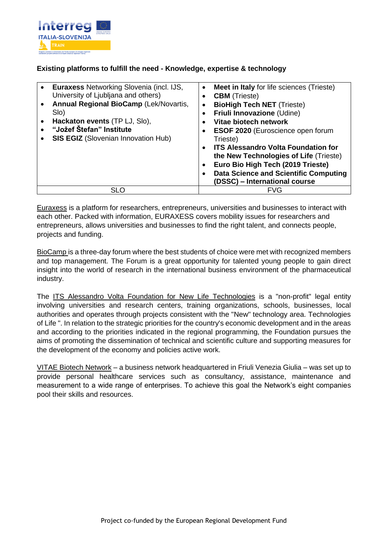

## **Existing platforms to fulfill the need - Knowledge, expertise & technology**

| <b>Euraxess Networking Slovenia (incl. IJS,</b><br>University of Ljubljana and others)<br><b>Annual Regional BioCamp (Lek/Novartis,</b><br>Slo)<br>Hackaton events (TP LJ, Slo),<br>"Jožef Štefan" Institute<br><b>SIS EGIZ</b> (Slovenian Innovation Hub) | Meet in Italy for life sciences (Trieste)<br>$\bullet$<br><b>CBM</b> (Trieste)<br><b>BioHigh Tech NET (Trieste)</b><br>$\bullet$<br>Friuli Innovazione (Udine)<br>Vitae biotech network<br>$\bullet$<br><b>ESOF 2020</b> (Euroscience open forum<br>Trieste)<br><b>ITS Alessandro Volta Foundation for</b><br>$\bullet$<br>the New Technologies of Life (Trieste)<br>Euro Bio High Tech (2019 Trieste)<br>$\bullet$<br><b>Data Science and Scientific Computing</b><br>(DSSC) - International course |
|------------------------------------------------------------------------------------------------------------------------------------------------------------------------------------------------------------------------------------------------------------|------------------------------------------------------------------------------------------------------------------------------------------------------------------------------------------------------------------------------------------------------------------------------------------------------------------------------------------------------------------------------------------------------------------------------------------------------------------------------------------------------|
| SLO                                                                                                                                                                                                                                                        | <b>FVG</b>                                                                                                                                                                                                                                                                                                                                                                                                                                                                                           |

Euraxess is a platform for researchers, entrepreneurs, universities and businesses to interact with each other. Packed with information, EURAXESS covers mobility issues for researchers and entrepreneurs, allows universities and businesses to find the right talent, and connects people, projects and funding.

BioCamp is a three-day forum where the best students of choice were met with recognized members and top management. The Forum is a great opportunity for talented young people to gain direct insight into the world of research in the international business environment of the pharmaceutical industry.

The ITS Alessandro Volta Foundation for New Life Technologies is a "non-profit" legal entity involving universities and research centers, training organizations, schools, businesses, local authorities and operates through projects consistent with the "New" technology area. Technologies of Life ". In relation to the strategic priorities for the country's economic development and in the areas and according to the priorities indicated in the regional programming, the Foundation pursues the aims of promoting the dissemination of technical and scientific culture and supporting measures for the development of the economy and policies active work.

VITAE Biotech Network – a business network headquartered in Friuli Venezia Giulia – was set up to provide personal healthcare services such as consultancy, assistance, maintenance and measurement to a wide range of enterprises. To achieve this goal the Network's eight companies pool their skills and resources.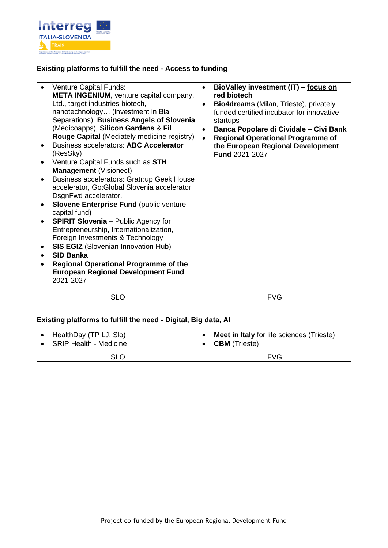

## **Existing platforms to fulfill the need - Access to funding**

| <b>Venture Capital Funds:</b><br><b>META INGENIUM, venture capital company,</b><br>Ltd., target industries biotech,<br>nanotechnology (investment in Bia<br>Separations), Business Angels of Slovenia<br>(Medicoapps), Silicon Gardens & Fil<br>Rouge Capital (Mediately medicine registry)<br><b>Business accelerators: ABC Accelerator</b><br>(ResSky)<br>Venture Capital Funds such as STH<br><b>Management (Visionect)</b><br>Business accelerators: Gratr:up Geek House<br>accelerator, Go:Global Slovenia accelerator,<br>DsgnFwd accelerator,<br><b>Slovene Enterprise Fund (public venture</b><br>capital fund)<br><b>SPIRIT Slovenia</b> – Public Agency for<br>Entrepreneurship, Internationalization,<br>Foreign Investments & Technology<br><b>SIS EGIZ</b> (Slovenian Innovation Hub)<br><b>SID Banka</b><br><b>Regional Operational Programme of the</b><br><b>European Regional Development Fund</b><br>2021-2027 | BioValley investment (IT) - focus on<br>$\bullet$<br>red biotech<br><b>Bio4dreams</b> (Milan, Trieste), privately<br>$\bullet$<br>funded certified incubator for innovative<br>startups<br>Banca Popolare di Cividale - Civi Bank<br>$\bullet$<br><b>Regional Operational Programme of</b><br>$\bullet$<br>the European Regional Development<br><b>Fund 2021-2027</b> |
|----------------------------------------------------------------------------------------------------------------------------------------------------------------------------------------------------------------------------------------------------------------------------------------------------------------------------------------------------------------------------------------------------------------------------------------------------------------------------------------------------------------------------------------------------------------------------------------------------------------------------------------------------------------------------------------------------------------------------------------------------------------------------------------------------------------------------------------------------------------------------------------------------------------------------------|-----------------------------------------------------------------------------------------------------------------------------------------------------------------------------------------------------------------------------------------------------------------------------------------------------------------------------------------------------------------------|
| <b>SLO</b>                                                                                                                                                                                                                                                                                                                                                                                                                                                                                                                                                                                                                                                                                                                                                                                                                                                                                                                       | <b>FVG</b>                                                                                                                                                                                                                                                                                                                                                            |

## **Existing platforms to fulfill the need - Digital, Big data, AI**

| HealthDay (TP LJ, Slo) | <b>Meet in Italy</b> for life sciences (Trieste) |
|------------------------|--------------------------------------------------|
| SRIP Health - Medicine | <b>CBM</b> (Trieste)                             |
| <b>SLO</b>             | <b>FVG</b>                                       |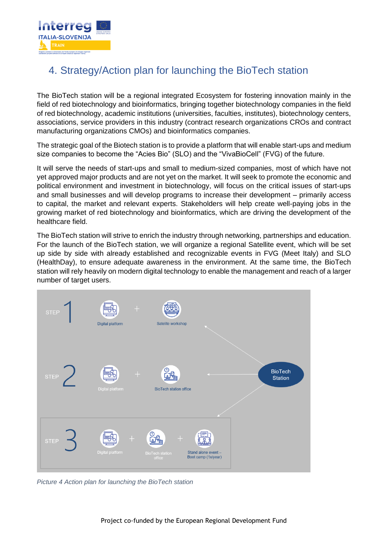

# <span id="page-22-0"></span>4. Strategy/Action plan for launching the BioTech station

The BioTech station will be a regional integrated Ecosystem for fostering innovation mainly in the field of red biotechnology and bioinformatics, bringing together biotechnology companies in the field of red biotechnology, academic institutions (universities, faculties, institutes), biotechnology centers, associations, service providers in this industry (contract research organizations CROs and contract manufacturing organizations CMOs) and bioinformatics companies.

The strategic goal of the Biotech station is to provide a platform that will enable start-ups and medium size companies to become the "Acies Bio" (SLO) and the "VivaBioCell" (FVG) of the future.

It will serve the needs of start-ups and small to medium-sized companies, most of which have not yet approved major products and are not yet on the market. It will seek to promote the economic and political environment and investment in biotechnology, will focus on the critical issues of start-ups and small businesses and will develop programs to increase their development – primarily access to capital, the market and relevant experts. Stakeholders will help create well-paying jobs in the growing market of red biotechnology and bioinformatics, which are driving the development of the healthcare field.

The BioTech station will strive to enrich the industry through networking, partnerships and education. For the launch of the BioTech station, we will organize a regional Satellite event, which will be set up side by side with already established and recognizable events in FVG (Meet Italy) and SLO (HealthDay), to ensure adequate awareness in the environment. At the same time, the BioTech station will rely heavily on modern digital technology to enable the management and reach of a larger number of target users.



*Picture 4 Action plan for launching the BioTech station*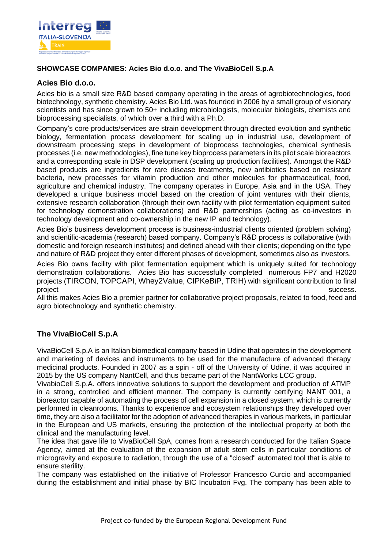

## **SHOWCASE COMPANIES: Acies Bio d.o.o. and The VivaBioCell S.p.A**

#### **Acies Bio d.o.o.**

Acies bio is a small size R&D based company operating in the areas of agrobiotechnologies, food biotechnology, synthetic chemistry. Acies Bio Ltd. was founded in 2006 by a small group of visionary scientists and has since grown to 50+ including microbiologists, molecular biologists, chemists and bioprocessing specialists, of which over a third with a Ph.D.

Company's core products/services are strain development through directed evolution and synthetic biology, fermentation process development for scaling up in industrial use, development of downstream processing steps in development of bioprocess technologies, chemical synthesis processes (i.e. new methodologies), fine tune key bioprocess parameters in its pilot scale bioreactors and a corresponding scale in DSP development (scaling up production facilities). Amongst the R&D based products are ingredients for rare disease treatments, new antibiotics based on resistant bacteria, new processes for vitamin production and other molecules for pharmaceutical, food, agriculture and chemical industry. The company operates in Europe, Asia and in the USA. They developed a unique business model based on the creation of joint ventures with their clients, extensive research collaboration (through their own facility with pilot fermentation equipment suited for technology demonstration collaborations) and R&D partnerships (acting as co-investors in technology development and co-ownership in the new IP and technology).

Acies Bio's business development process is business-industrial clients oriented (problem solving) and scientific-academia (research) based company. Company's R&D process is collaborative (with domestic and foreign research institutes) and defined ahead with their clients; depending on the type and nature of R&D project they enter different phases of development, sometimes also as investors.

Acies Bio owns facility with pilot fermentation equipment which is uniquely suited for technology demonstration collaborations. Acies Bio has successfully completed numerous FP7 and H2020 projects ([TIRCON](http://www.tircon.eu/), [TOPCAPI](http://www.topcapi.eu/), [Whey2Value](http://www.whey2value.com/), [CIPKeBiP](http://www.cipkebip.org/), [TRIH](http://www.amigoscience.eu/)) with significant contribution to final project success.

All this makes Acies Bio a premier partner for collaborative project proposals, related to food, feed and agro biotechnology and synthetic chemistry.

## **The VivaBioCell S.p.A**

VivaBioCell S.p.A is an Italian biomedical company based in Udine that operates in the development and marketing of devices and instruments to be used for the manufacture of advanced therapy medicinal products. Founded in 2007 as a spin - off of the University of Udine, it was acquired in 2015 by the US company NantCell, and thus became part of the NantWorks LCC group.

VivabioCell S.p.A. offers innovative solutions to support the development and production of ATMP in a strong, controlled and efficient manner. The company is currently certifying NANT 001, a bioreactor capable of automating the process of cell expansion in a closed system, which is currently performed in cleanrooms. Thanks to experience and ecosystem relationships they developed over time, they are also a facilitator for the adoption of advanced therapies in various markets, in particular in the European and US markets, ensuring the protection of the intellectual property at both the clinical and the manufacturing level.

The idea that gave life to VivaBioCell SpA, comes from a research conducted for the Italian Space Agency, aimed at the evaluation of the expansion of adult stem cells in particular conditions of microgravity and exposure to radiation, through the use of a "closed" automated tool that is able to ensure sterility.

The company was established on the initiative of Professor Francesco Curcio and accompanied during the establishment and initial phase by BIC Incubatori Fvg. The company has been able to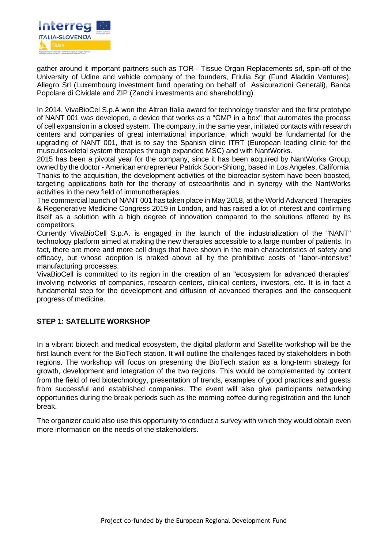

gather around it important partners such as TOR - Tissue Organ Replacements srl, spin-off of the University of Udine and vehicle company of the founders, Friulia Sgr (Fund Aladdin Ventures), Allegro Srl (Luxembourg investment fund operating on behalf of Assicurazioni Generali), Banca Popolare di Cividale and ZIP (Zanchi investments and shareholding).

In 2014, VivaBioCel S.p.A won the Altran Italia award for technology transfer and the first prototype of NANT 001 was developed, a device that works as a "GMP in a box" that automates the process of cell expansion in a closed system. The company, in the same year, initiated contacts with research centers and companies of great international importance, which would be fundamental for the upgrading of NANT 001, that is to say the Spanish clinic ITRT (European leading clinic for the musculoskeletal system therapies through expanded MSC) and with NantWorks.

2015 has been a pivotal year for the company, since it has been acquired by NantWorks Group, owned by the doctor - American entrepreneur Patrick Soon-Shiong, based in Los Angeles, California. Thanks to the acquisition, the development activities of the bioreactor system have been boosted, targeting applications both for the therapy of osteoarthritis and in synergy with the NantWorks activities in the new field of immunotherapies.

The commercial launch of NANT 001 has taken place in May 2018, at the World Advanced Therapies & Regenerative Medicine Congress 2019 in London, and has raised a lot of interest and confirming itself as a solution with a high degree of innovation compared to the solutions offered by its competitors.

Currently VivaBioCell S.p.A. is engaged in the launch of the industrialization of the "NANT" technology platform aimed at making the new therapies accessible to a large number of patients. In fact, there are more and more cell drugs that have shown in the main characteristics of safety and efficacy, but whose adoption is braked above all by the prohibitive costs of "labor-intensive" manufacturing processes.

VivaBioCell is committed to its region in the creation of an "ecosystem for advanced therapies" involving networks of companies, research centers, clinical centers, investors, etc. It is in fact a fundamental step for the development and diffusion of advanced therapies and the consequent progress of medicine.

## **STEP 1: SATELLITE WORKSHOP**

In a vibrant biotech and medical ecosystem, the digital platform and Satellite workshop will be the first launch event for the BioTech station. It will outline the challenges faced by stakeholders in both regions. The workshop will focus on presenting the BioTech station as a long-term strategy for growth, development and integration of the two regions. This would be complemented by content from the field of red biotechnology, presentation of trends, examples of good practices and guests from successful and established companies. The event will also give participants networking opportunities during the break periods such as the morning coffee during registration and the lunch break.

The organizer could also use this opportunity to conduct a survey with which they would obtain even more information on the needs of the stakeholders.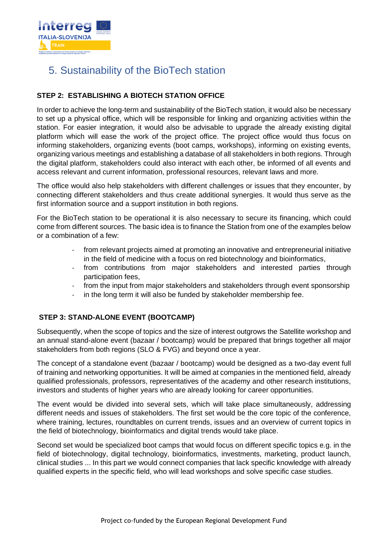

# <span id="page-25-0"></span>5. Sustainability of the BioTech station

## **STEP 2: ESTABLISHING A BIOTECH STATION OFFICE**

In order to achieve the long-term and sustainability of the BioTech station, it would also be necessary to set up a physical office, which will be responsible for linking and organizing activities within the station. For easier integration, it would also be advisable to upgrade the already existing digital platform which will ease the work of the project office. The project office would thus focus on informing stakeholders, organizing events (boot camps, workshops), informing on existing events, organizing various meetings and establishing a database of all stakeholders in both regions. Through the digital platform, stakeholders could also interact with each other, be informed of all events and access relevant and current information, professional resources, relevant laws and more.

The office would also help stakeholders with different challenges or issues that they encounter, by connecting different stakeholders and thus create additional synergies. It would thus serve as the first information source and a support institution in both regions.

For the BioTech station to be operational it is also necessary to secure its financing, which could come from different sources. The basic idea is to finance the Station from one of the examples below or a combination of a few:

- from relevant projects aimed at promoting an innovative and entrepreneurial initiative in the field of medicine with a focus on red biotechnology and bioinformatics,
- from contributions from major stakeholders and interested parties through participation fees,
- from the input from major stakeholders and stakeholders through event sponsorship
- in the long term it will also be funded by stakeholder membership fee.

## **STEP 3: STAND-ALONE EVENT (BOOTCAMP)**

Subsequently, when the scope of topics and the size of interest outgrows the Satellite workshop and an annual stand-alone event (bazaar / bootcamp) would be prepared that brings together all major stakeholders from both regions (SLO & FVG) and beyond once a year.

The concept of a standalone event (bazaar / bootcamp) would be designed as a two-day event full of training and networking opportunities. It will be aimed at companies in the mentioned field, already qualified professionals, professors, representatives of the academy and other research institutions, investors and students of higher years who are already looking for career opportunities.

The event would be divided into several sets, which will take place simultaneously, addressing different needs and issues of stakeholders. The first set would be the core topic of the conference, where training, lectures, roundtables on current trends, issues and an overview of current topics in the field of biotechnology, bioinformatics and digital trends would take place.

Second set would be specialized boot camps that would focus on different specific topics e.g. in the field of biotechnology, digital technology, bioinformatics, investments, marketing, product launch, clinical studies ... In this part we would connect companies that lack specific knowledge with already qualified experts in the specific field, who will lead workshops and solve specific case studies.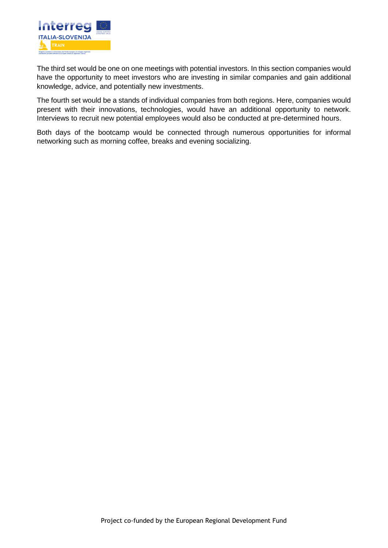

The third set would be one on one meetings with potential investors. In this section companies would have the opportunity to meet investors who are investing in similar companies and gain additional knowledge, advice, and potentially new investments.

The fourth set would be a stands of individual companies from both regions. Here, companies would present with their innovations, technologies, would have an additional opportunity to network. Interviews to recruit new potential employees would also be conducted at pre-determined hours.

Both days of the bootcamp would be connected through numerous opportunities for informal networking such as morning coffee, breaks and evening socializing.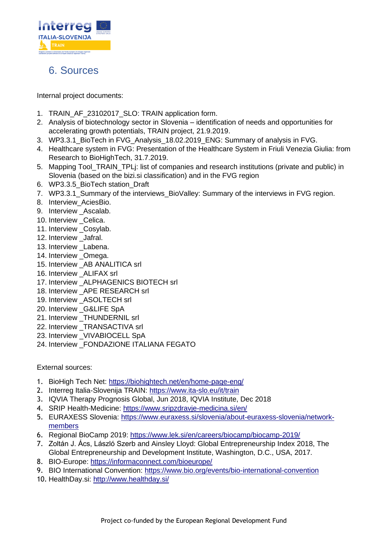

## <span id="page-27-0"></span>6. Sources

Internal project documents:

- 1. TRAIN AF 23102017 SLO: TRAIN application form.
- 2. Analysis of biotechnology sector in Slovenia identification of needs and opportunities for accelerating growth potentials, TRAIN project, 21.9.2019.
- 3. WP3.3.1 BioTech in FVG Analysis 18.02.2019 ENG: Summary of analysis in FVG.
- 4. Healthcare system in FVG: Presentation of the Healthcare System in Friuli Venezia Giulia: from Research to BioHighTech, 31.7.2019.
- 5. Mapping Tool\_TRAIN\_TPLj: list of companies and research institutions (private and public) in Slovenia (based on the bizi.si classification) and in the FVG region
- 6. WP3.3.5\_BioTech station\_Draft
- 7. WP3.3.1 Summary of the interviews BioValley: Summary of the interviews in FVG region.
- 8. Interview\_AciesBio.
- 9. Interview Ascalab.
- 10. Interview Celica.
- 11. Interview \_Cosylab.
- 12. Interview \_Jafral.
- 13. Interview Labena.
- 14. Interview Omega.
- 15. Interview AB ANALITICA srl
- 16. Interview ALIFAX srl
- 17. Interview ALPHAGENICS BIOTECH srl
- 18. Interview APE RESEARCH srl
- 19. Interview \_ASOLTECH srl
- 20. Interview \_G&LIFE SpA
- 21. Interview THUNDERNIL srl
- 22. Interview TRANSACTIVA srl
- 23. Interview VIVABIOCELL SpA
- 24. Interview \_FONDAZIONE ITALIANA FEGATO

External sources:

- 1. BioHigh Tech Net:<https://biohightech.net/en/home-page-eng/>
- 2. Interreg Italia-Slovenija TRAIN:<https://www.ita-slo.eu/it/train>
- 3. IQVIA Therapy Prognosis Global, Jun 2018, IQVIA Institute, Dec 2018
- 4. SRIP Health-Medicine:<https://www.sripzdravje-medicina.si/en/>
- 5. EURAXESS Slovenia: [https://www.euraxess.si/slovenia/about-euraxess-slovenia/network](https://www.euraxess.si/slovenia/about-euraxess-slovenia/network-members)[members](https://www.euraxess.si/slovenia/about-euraxess-slovenia/network-members)
- 6. Regional BioCamp 2019:<https://www.lek.si/en/careers/biocamp/biocamp-2019/>
- 7. Zoltán J. Ács, László Szerb and Ainsley Lloyd: Global Entrepreneurship Index 2018, The Global Entrepreneurship and Development Institute, Washington, D.C., USA, 2017.
- 8. BIO-Europe:<https://informaconnect.com/bioeurope/>
- 9. BIO International Convention:<https://www.bio.org/events/bio-international-convention>
- 10. HealthDay.si:<http://www.healthday.si/>